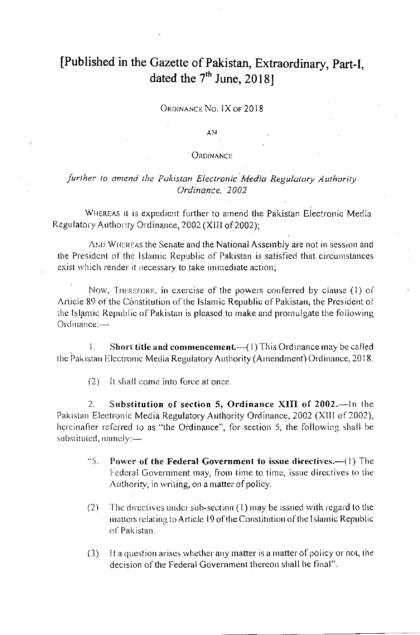## [Published in the Gazette of Pakistan, Extraordinary, Part-I, dated the  $7<sup>th</sup>$  June, 2018]

ORDINANCE NO. IX OF 2018

**AN** 

## **ORDINANCE**

## further to amend the Pakistan Electronic Media Regulatory Authority Ordinance, 2002

WHEREAS it is expedient further to amend the Pakistan Electronic Media Regulatory Authority Ordinance, 2002 (XIII of 2002);

AND WHEREAS the Senate and the National Assembly are not in session and the President of the Islamic Republic of Pakistan is satisfied that circumstances exist which render it necessary to take immediate action;

Now, THEREFORE, in exercise of the powers conferred by clause (1) of Article 89 of the Constitution of the Islamic Republic of Pakistan, the President of the Islamic Republic of Pakistan is pleased to make and promulgate the following Ordinance:-

L. Short title and commencement.-(1) This Ordinance may be called the Pakistan Electronic Media Regulatory Authority (Amendment) Ordinance, 2018.

 $(2)$ It shall come into force at once.

Substitution of section 5, Ordinance XIII of 2002.-In the 2. Pakistan Electronic Media Regulatory Authority Ordinance, 2002 (XIII of 2002), hereinafter referred to as "the Ordinance", for section 5, the following shall be substituted, namely:-

- $\cdot$  5. Power of the Federal Government to issue directives.—(1) The Federal Government may, from time to time, issue directives to the Authority, in writing, on a matter of policy.
- The directives under sub-section  $(1)$  may be issued with regard to the  $(2)$ matters relating to Article 19 of the Constitution of the Islamic Republic of Pakistan.
- If a question arises whether any matter is a matter of policy or not, the  $(3)$ decision of the Federal Government thereon shall be final".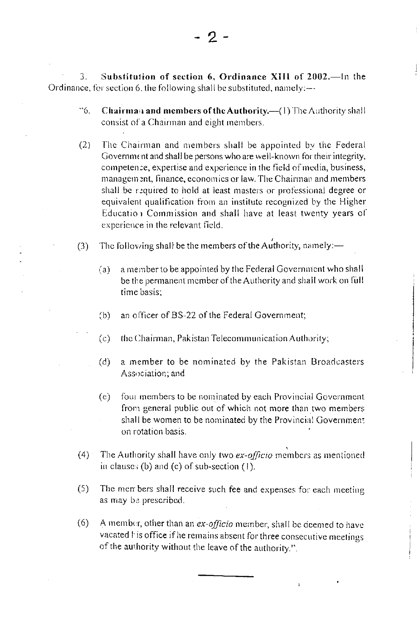$3.$ Substitution of section  $6$ , Ordinance XIII of  $2002$ .—In the Ordinance, for section 6, the following shall be substituted, namely:-

- <sup>\*\*</sup>6. Chairman and members of the Authority.-(1) The Authority shall consist of a Chairman and eight members.
- $(2)$ The Chairman and members shall be appointed by the Federal Government and shall be persons who are well-known for their integrity, competence, expertise and experience in the field of media, business, management, finance, economics or law. The Chairman and members shall be required to hold at least masters or professional degree or equivalent qualification from an institute recognized by the Higher Education Commission and shall have at least twenty years of experience in the relevant field.
- The following shall be the members of the Authority, namely:—  $(3)$ 
	- a member to be appointed by the Federal Government who shall  $(a)$ be the permanent member of the Authority and shall work on full time basis:
	- an officer of BS-22 of the Federal Government:  $(b)$
	- $(c)$ the Chairman, Pakistan Telecommunication Authority;
	- $(d)$ a member to be nominated by the Pakistan Broadcasters Association; and
	- four members to be nominated by each Provincial Government  $(e)$ from general public out of which not more than two members shall be women to be nominated by the Provincial Government on rotation basis.
- The Authority shall have only two ex-officio members as mentioned  $(4)$ in clauses (b) and (c) of sub-section  $(1)$ .
- $(5)$ The men bers shall receive such fee and expenses for each meeting as may be prescribed.
- $(6)$ A member, other than an ex-officio member, shall be deemed to have vacated I is office if he remains absent for three consecutive meetings of the authority without the leave of the authority.".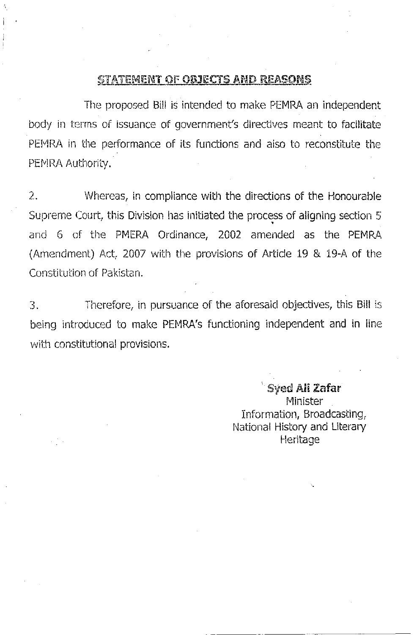## **STATEMENT OF OBJECTS AND REASONS**

The proposed Bill is intended to make PEMRA an independent body in terms of issuance of government's directives meant to facilitate PEMRA in the performance of its functions and also to reconstitute the PEMRA Authority.

2. Whereas, in compliance with the directions of the Honourable Supreme Court, this Division has initiated the process of aligning section 5 and 6 of the PMERA Ordinance, 2002 amended as the PEMRA (Amendment) Act, 2007 with the provisions of Article 19 & 19-A of the Constitution of Pakistan.

Therefore, in pursuance of the aforesaid objectives, this Bill is 3. being introduced to make PEMRA's functioning independent and in line with constitutional provisions.

> Syed Ali Zafar Minister Information, Broadcasting, National History and Literary Heritage